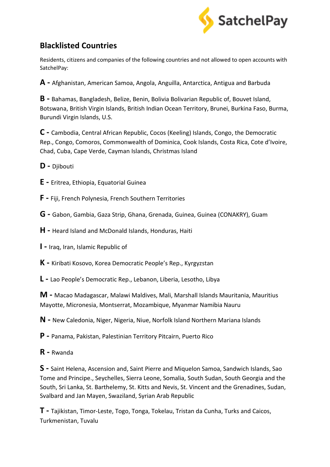

## **Blacklisted Countries**

Residents, citizens and companies of the following countries and not allowed to open accounts with SatchelPay:

**A -** Afghanistan, American Samoa, Angola, Anguilla, Antarctica, Antigua and Barbuda

**B -** Bahamas, Bangladesh, Belize, Benin, Bolivia Bolivarian Republic of, Bouvet Island, Botswana, British Virgin Islands, British Indian Ocean Territory, Brunei, Burkina Faso, Burma, Burundi Virgin Islands, U.S.

**C -** Cambodia, Central African Republic, Cocos (Keeling) Islands, Congo, the Democratic Rep., Congo, Comoros, Commonwealth of Dominica, Cook Islands, Costa Rica, Cote d'Ivoire, Chad, Cuba, Cape Verde, Cayman Islands, Christmas Island

**D -** Djibouti

**E -** Eritrea, Ethiopia, Equatorial Guinea

**F -** Fiji, French Polynesia, French Southern Territories

**G -** Gabon, Gambia, Gaza Strip, Ghana, Grenada, Guinea, Guinea (CONAKRY), Guam

**H -** Heard Island and McDonald Islands, Honduras, Haiti

**I -** Iraq, Iran, Islamic Republic of

**K -** Kiribati Kosovo, Korea Democratic People's Rep., Kyrgyzstan

**L -** Lao People's Democratic Rep., Lebanon, Liberia, Lesotho, Libya

**M -** Macao Madagascar, Malawi Maldives, Mali, Marshall Islands Mauritania, Mauritius Mayotte, Micronesia, Montserrat, Mozambique, Myanmar Namibia Nauru

**N -** New Caledonia, Niger, Nigeria, Niue, Norfolk Island Northern Mariana Islands

**P -** Panama, Pakistan, Palestinian Territory Pitcairn, Puerto Rico

**R -** Rwanda

**S -** Saint Helena, Ascension and, Saint Pierre and Miquelon Samoa, Sandwich Islands, Sao Tome and Principe., Seychelles, Sierra Leone, Somalia, South Sudan, South Georgia and the South, Sri Lanka, St. Barthelemy, St. Kitts and Nevis, St. Vincent and the Grenadines, Sudan, Svalbard and Jan Mayen, Swaziland, Syrian Arab Republic

**T -** Tajikistan, Timor-Leste, Togo, Tonga, Tokelau, Tristan da Cunha, Turks and Caicos, Turkmenistan, Tuvalu